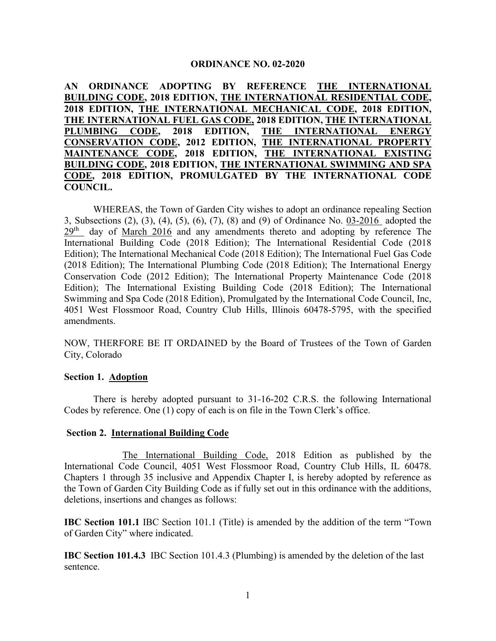#### **ORDINANCE NO. 02-2020**

**AN ORDINANCE ADOPTING BY REFERENCE THE INTERNATIONAL BUILDING CODE, 2018 EDITION, THE INTERNATIONAL RESIDENTIAL CODE, 2018 EDITION, THE INTERNATIONAL MECHANICAL CODE, 2018 EDITION, THE INTERNATIONAL FUEL GAS CODE, 2018 EDITION, THE INTERNATIONAL PLUMBING CODE, 2018 EDITION, THE INTERNATIONAL ENERGY CONSERVATION CODE, 2012 EDITION, THE INTERNATIONAL PROPERTY MAINTENANCE CODE, 2018 EDITION, THE INTERNATIONAL EXISTING BUILDING CODE, 2018 EDITION, THE INTERNATIONAL SWIMMING AND SPA CODE, 2018 EDITION, PROMULGATED BY THE INTERNATIONAL CODE COUNCIL.**

WHEREAS, the Town of Garden City wishes to adopt an ordinance repealing Section 3, Subsections (2), (3), (4), (5), (6), (7), (8) and (9) of Ordinance No. 03-2016 adopted the  $29<sup>th</sup>$  day of March 2016 and any amendments thereto and adopting by reference The International Building Code (2018 Edition); The International Residential Code (2018 Edition); The International Mechanical Code (2018 Edition); The International Fuel Gas Code (2018 Edition); The International Plumbing Code (2018 Edition); The International Energy Conservation Code (2012 Edition); The International Property Maintenance Code (2018 Edition); The International Existing Building Code (2018 Edition); The International Swimming and Spa Code (2018 Edition), Promulgated by the International Code Council, Inc, 4051 West Flossmoor Road, Country Club Hills, Illinois 60478-5795, with the specified amendments.

NOW, THERFORE BE IT ORDAINED by the Board of Trustees of the Town of Garden City, Colorado

#### **Section 1. Adoption**

There is hereby adopted pursuant to 31-16-202 C.R.S. the following International Codes by reference. One (1) copy of each is on file in the Town Clerk's office.

#### **Section 2. International Building Code**

The International Building Code, 2018 Edition as published by the International Code Council, 4051 West Flossmoor Road, Country Club Hills, IL 60478. Chapters 1 through 35 inclusive and Appendix Chapter I, is hereby adopted by reference as the Town of Garden City Building Code as if fully set out in this ordinance with the additions, deletions, insertions and changes as follows:

**IBC Section 101.1** IBC Section 101.1 (Title) is amended by the addition of the term "Town of Garden City" where indicated.

**IBC Section 101.4.3** IBC Section 101.4.3 (Plumbing) is amended by the deletion of the last sentence.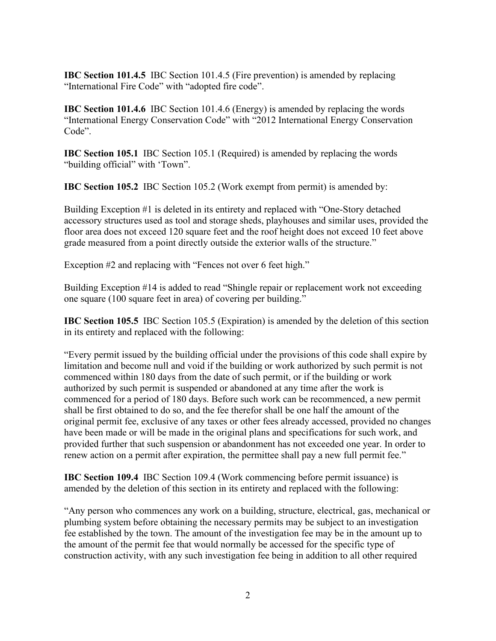**IBC Section 101.4.5** IBC Section 101.4.5 (Fire prevention) is amended by replacing "International Fire Code" with "adopted fire code".

**IBC Section 101.4.6** IBC Section 101.4.6 (Energy) is amended by replacing the words "International Energy Conservation Code" with "2012 International Energy Conservation Code".

**IBC Section 105.1** IBC Section 105.1 (Required) is amended by replacing the words "building official" with 'Town".

**IBC Section 105.2** IBC Section 105.2 (Work exempt from permit) is amended by:

Building Exception #1 is deleted in its entirety and replaced with "One-Story detached accessory structures used as tool and storage sheds, playhouses and similar uses, provided the floor area does not exceed 120 square feet and the roof height does not exceed 10 feet above grade measured from a point directly outside the exterior walls of the structure."

Exception #2 and replacing with "Fences not over 6 feet high."

Building Exception #14 is added to read "Shingle repair or replacement work not exceeding one square (100 square feet in area) of covering per building."

**IBC Section 105.5** IBC Section 105.5 (Expiration) is amended by the deletion of this section in its entirety and replaced with the following:

"Every permit issued by the building official under the provisions of this code shall expire by limitation and become null and void if the building or work authorized by such permit is not commenced within 180 days from the date of such permit, or if the building or work authorized by such permit is suspended or abandoned at any time after the work is commenced for a period of 180 days. Before such work can be recommenced, a new permit shall be first obtained to do so, and the fee therefor shall be one half the amount of the original permit fee, exclusive of any taxes or other fees already accessed, provided no changes have been made or will be made in the original plans and specifications for such work, and provided further that such suspension or abandonment has not exceeded one year. In order to renew action on a permit after expiration, the permittee shall pay a new full permit fee."

**IBC Section 109.4** IBC Section 109.4 (Work commencing before permit issuance) is amended by the deletion of this section in its entirety and replaced with the following:

"Any person who commences any work on a building, structure, electrical, gas, mechanical or plumbing system before obtaining the necessary permits may be subject to an investigation fee established by the town. The amount of the investigation fee may be in the amount up to the amount of the permit fee that would normally be accessed for the specific type of construction activity, with any such investigation fee being in addition to all other required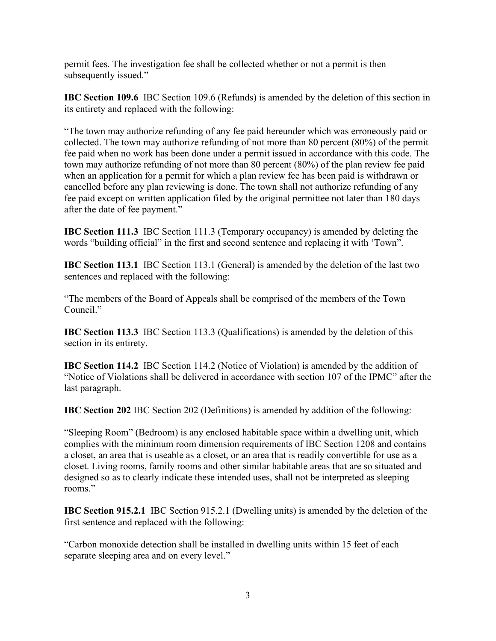permit fees. The investigation fee shall be collected whether or not a permit is then subsequently issued."

**IBC Section 109.6** IBC Section 109.6 (Refunds) is amended by the deletion of this section in its entirety and replaced with the following:

"The town may authorize refunding of any fee paid hereunder which was erroneously paid or collected. The town may authorize refunding of not more than 80 percent (80%) of the permit fee paid when no work has been done under a permit issued in accordance with this code. The town may authorize refunding of not more than 80 percent (80%) of the plan review fee paid when an application for a permit for which a plan review fee has been paid is withdrawn or cancelled before any plan reviewing is done. The town shall not authorize refunding of any fee paid except on written application filed by the original permittee not later than 180 days after the date of fee payment."

**IBC Section 111.3** IBC Section 111.3 (Temporary occupancy) is amended by deleting the words "building official" in the first and second sentence and replacing it with 'Town".

**IBC Section 113.1** IBC Section 113.1 (General) is amended by the deletion of the last two sentences and replaced with the following:

"The members of the Board of Appeals shall be comprised of the members of the Town Council."

**IBC Section 113.3** IBC Section 113.3 (Qualifications) is amended by the deletion of this section in its entirety.

**IBC Section 114.2** IBC Section 114.2 (Notice of Violation) is amended by the addition of "Notice of Violations shall be delivered in accordance with section 107 of the IPMC" after the last paragraph.

**IBC Section 202** IBC Section 202 (Definitions) is amended by addition of the following:

"Sleeping Room" (Bedroom) is any enclosed habitable space within a dwelling unit, which complies with the minimum room dimension requirements of IBC Section 1208 and contains a closet, an area that is useable as a closet, or an area that is readily convertible for use as a closet. Living rooms, family rooms and other similar habitable areas that are so situated and designed so as to clearly indicate these intended uses, shall not be interpreted as sleeping rooms."

**IBC Section 915.2.1** IBC Section 915.2.1 (Dwelling units) is amended by the deletion of the first sentence and replaced with the following:

"Carbon monoxide detection shall be installed in dwelling units within 15 feet of each separate sleeping area and on every level."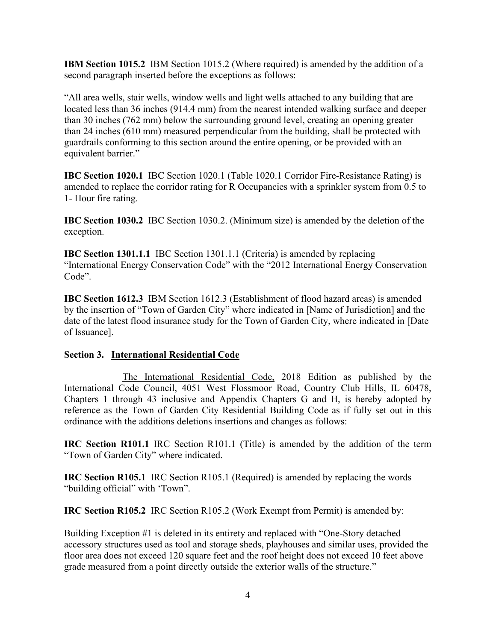**IBM Section 1015.2** IBM Section 1015.2 (Where required) is amended by the addition of a second paragraph inserted before the exceptions as follows:

"All area wells, stair wells, window wells and light wells attached to any building that are located less than 36 inches (914.4 mm) from the nearest intended walking surface and deeper than 30 inches (762 mm) below the surrounding ground level, creating an opening greater than 24 inches (610 mm) measured perpendicular from the building, shall be protected with guardrails conforming to this section around the entire opening, or be provided with an equivalent barrier."

**IBC Section 1020.1** IBC Section 1020.1 (Table 1020.1 Corridor Fire-Resistance Rating) is amended to replace the corridor rating for R Occupancies with a sprinkler system from 0.5 to 1- Hour fire rating.

**IBC Section 1030.2** IBC Section 1030.2. (Minimum size) is amended by the deletion of the exception.

**IBC Section 1301.1.1** IBC Section 1301.1.1 (Criteria) is amended by replacing "International Energy Conservation Code" with the "2012 International Energy Conservation Code".

**IBC Section 1612.3** IBM Section 1612.3 (Establishment of flood hazard areas) is amended by the insertion of "Town of Garden City" where indicated in [Name of Jurisdiction] and the date of the latest flood insurance study for the Town of Garden City, where indicated in [Date of Issuance].

### **Section 3. International Residential Code**

The International Residential Code, 2018 Edition as published by the International Code Council, 4051 West Flossmoor Road, Country Club Hills, IL 60478, Chapters 1 through 43 inclusive and Appendix Chapters G and H, is hereby adopted by reference as the Town of Garden City Residential Building Code as if fully set out in this ordinance with the additions deletions insertions and changes as follows:

**IRC Section R101.1** IRC Section R101.1 (Title) is amended by the addition of the term "Town of Garden City" where indicated.

**IRC Section R105.1** IRC Section R105.1 (Required) is amended by replacing the words "building official" with 'Town".

**IRC Section R105.2** IRC Section R105.2 (Work Exempt from Permit) is amended by:

Building Exception #1 is deleted in its entirety and replaced with "One-Story detached accessory structures used as tool and storage sheds, playhouses and similar uses, provided the floor area does not exceed 120 square feet and the roof height does not exceed 10 feet above grade measured from a point directly outside the exterior walls of the structure."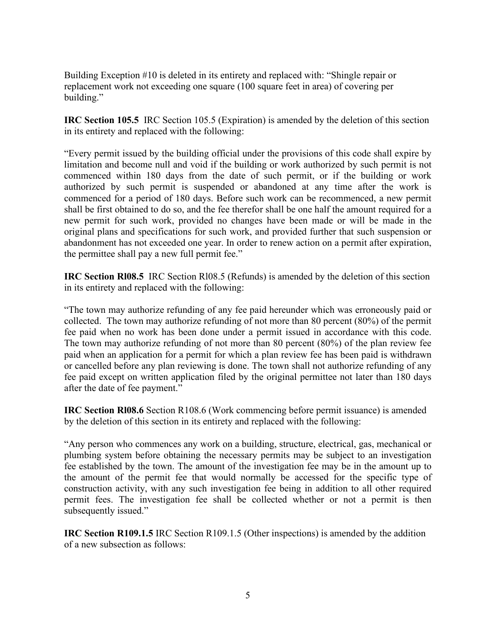Building Exception #10 is deleted in its entirety and replaced with: "Shingle repair or replacement work not exceeding one square (100 square feet in area) of covering per building."

**IRC Section 105.5** IRC Section 105.5 (Expiration) is amended by the deletion of this section in its entirety and replaced with the following:

"Every permit issued by the building official under the provisions of this code shall expire by limitation and become null and void if the building or work authorized by such permit is not commenced within 180 days from the date of such permit, or if the building or work authorized by such permit is suspended or abandoned at any time after the work is commenced for a period of 180 days. Before such work can be recommenced, a new permit shall be first obtained to do so, and the fee therefor shall be one half the amount required for a new permit for such work, provided no changes have been made or will be made in the original plans and specifications for such work, and provided further that such suspension or abandonment has not exceeded one year. In order to renew action on a permit after expiration, the permittee shall pay a new full permit fee."

**IRC Section Rl08.5** IRC Section Rl08.5 (Refunds) is amended by the deletion of this section in its entirety and replaced with the following:

"The town may authorize refunding of any fee paid hereunder which was erroneously paid or collected. The town may authorize refunding of not more than 80 percent (80%) of the permit fee paid when no work has been done under a permit issued in accordance with this code. The town may authorize refunding of not more than 80 percent (80%) of the plan review fee paid when an application for a permit for which a plan review fee has been paid is withdrawn or cancelled before any plan reviewing is done. The town shall not authorize refunding of any fee paid except on written application filed by the original permittee not later than 180 days after the date of fee payment."

**IRC Section RI08.6** Section R108.6 (Work commencing before permit issuance) is amended by the deletion of this section in its entirety and replaced with the following:

"Any person who commences any work on a building, structure, electrical, gas, mechanical or plumbing system before obtaining the necessary permits may be subject to an investigation fee established by the town. The amount of the investigation fee may be in the amount up to the amount of the permit fee that would normally be accessed for the specific type of construction activity, with any such investigation fee being in addition to all other required permit fees. The investigation fee shall be collected whether or not a permit is then subsequently issued."

**IRC Section R109.1.5** IRC Section R109.1.5 (Other inspections) is amended by the addition of a new subsection as follows: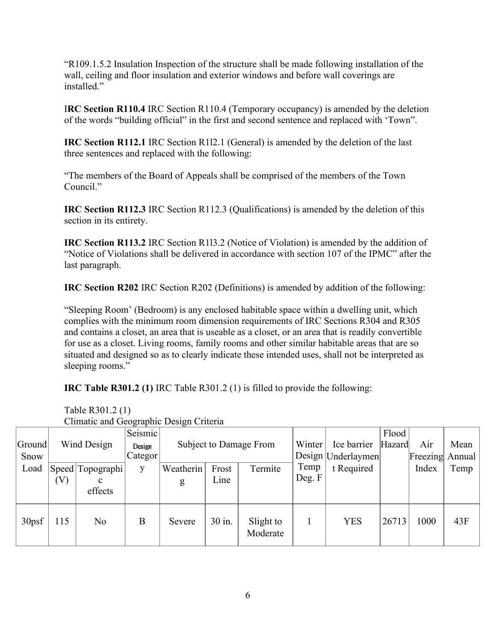"R109.1.5.2 Insulation Inspection of the structure shall be made following installation of the wall, ceiling and floor insulation and exterior windows and before wall coverings are installed."

I**RC Section R110.4** IRC Section R110.4 (Temporary occupancy) is amended by the deletion of the words "building official" in the first and second sentence and replaced with 'Town".

**IRC Section R112.1** IRC Section R1l2.1 (General) is amended by the deletion of the last three sentences and replaced with the following:

"The members of the Board of Appeals shall be comprised of the members of the Town Council."

**IRC Section R112.3** IRC Section R112.3 (Qualifications) is amended by the deletion of this section in its entirety.

**IRC Section R113.2** IRC Section R1l3.2 (Notice of Violation) is amended by the addition of "Notice of Violations shall be delivered in accordance with section 107 of the IPMC" after the last paragraph.

**IRC Section R202** IRC Section R202 (Definitions) is amended by addition of the following:

"Sleeping Room' (Bedroom) is any enclosed habitable space within a dwelling unit, which complies with the minimum room dimension requirements of IRC Sections R304 and R305 and contains a closet, an area that is useable as a closet, or an area that is readily convertible for use as a closet. Living rooms, family rooms and other similar habitable areas that are so situated and designed so as to clearly indicate these intended uses, shall not be interpreted as sleeping rooms."

**IRC Table R301.2 (1)** IRC Table R301.2 (1) is filled to provide the following:

| Climatic and Geographic Design Criteria |             |                    |         |                        |        |                       |        |                      |        |                 |      |
|-----------------------------------------|-------------|--------------------|---------|------------------------|--------|-----------------------|--------|----------------------|--------|-----------------|------|
|                                         |             |                    | Seismic |                        |        |                       |        |                      | Flood  |                 |      |
| Ground                                  | Wind Design |                    | Design  | Subject to Damage From |        |                       | Winter | Ice barrier          | Hazard | Air             | Mean |
| Snow                                    |             |                    | Categor |                        |        |                       |        | Design   Underlaymen |        | Freezing Annual |      |
| Load                                    |             | Speed   Topographi | y       | Weatherin              | Frost  | Termite               | Temp   | t Required           |        | Index           | Temp |
|                                         | $\rm V)$    | c                  |         | g                      | Line   |                       | Deg. F |                      |        |                 |      |
|                                         |             | effects            |         |                        |        |                       |        |                      |        |                 |      |
|                                         |             |                    |         |                        |        |                       |        |                      |        |                 |      |
| 30psf                                   | 115         | No                 | B       | Severe                 | 30 in. | Slight to<br>Moderate |        | <b>YES</b>           | 26713  | 1000            | 43F  |

Table R301.2 (1) Climatic and Geographic Design Criteria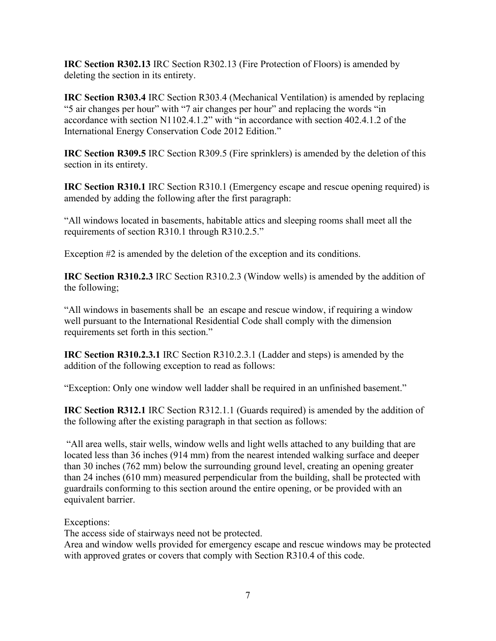**IRC Section R302.13** IRC Section R302.13 (Fire Protection of Floors) is amended by deleting the section in its entirety.

**IRC Section R303.4** IRC Section R303.4 (Mechanical Ventilation) is amended by replacing "5 air changes per hour" with "7 air changes per hour" and replacing the words "in accordance with section N1102.4.1.2" with "in accordance with section 402.4.1.2 of the International Energy Conservation Code 2012 Edition."

**IRC Section R309.5** IRC Section R309.5 (Fire sprinklers) is amended by the deletion of this section in its entirety.

**IRC Section R310.1** IRC Section R310.1 (Emergency escape and rescue opening required) is amended by adding the following after the first paragraph:

"All windows located in basements, habitable attics and sleeping rooms shall meet all the requirements of section R310.1 through R310.2.5."

Exception #2 is amended by the deletion of the exception and its conditions.

**IRC Section R310.2.3** IRC Section R310.2.3 (Window wells) is amended by the addition of the following;

"All windows in basements shall be an escape and rescue window, if requiring a window well pursuant to the International Residential Code shall comply with the dimension requirements set forth in this section."

**IRC Section R310.2.3.1** IRC Section R310.2.3.1 (Ladder and steps) is amended by the addition of the following exception to read as follows:

"Exception: Only one window well ladder shall be required in an unfinished basement."

**IRC Section R312.1** IRC Section R312.1.1 (Guards required) is amended by the addition of the following after the existing paragraph in that section as follows:

"All area wells, stair wells, window wells and light wells attached to any building that are located less than 36 inches (914 mm) from the nearest intended walking surface and deeper than 30 inches (762 mm) below the surrounding ground level, creating an opening greater than 24 inches (610 mm) measured perpendicular from the building, shall be protected with guardrails conforming to this section around the entire opening, or be provided with an equivalent barrier.

Exceptions:

The access side of stairways need not be protected.

Area and window wells provided for emergency escape and rescue windows may be protected with approved grates or covers that comply with Section R310.4 of this code.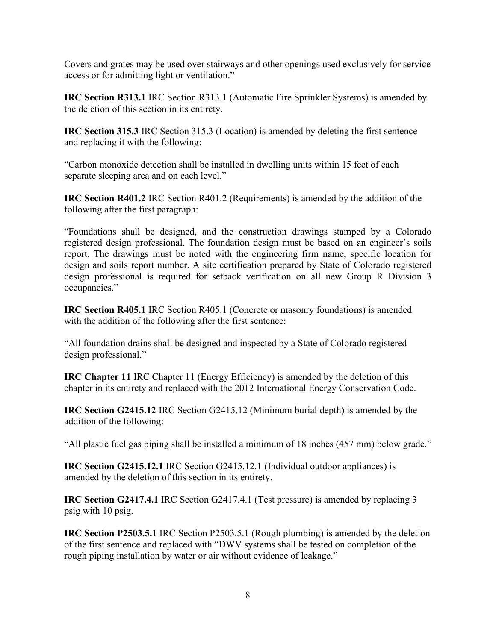Covers and grates may be used over stairways and other openings used exclusively for service access or for admitting light or ventilation."

**IRC Section R313.1** IRC Section R313.1 (Automatic Fire Sprinkler Systems) is amended by the deletion of this section in its entirety.

**IRC Section 315.3** IRC Section 315.3 (Location) is amended by deleting the first sentence and replacing it with the following:

"Carbon monoxide detection shall be installed in dwelling units within 15 feet of each separate sleeping area and on each level."

**IRC Section R401.2** IRC Section R401.2 (Requirements) is amended by the addition of the following after the first paragraph:

"Foundations shall be designed, and the construction drawings stamped by a Colorado registered design professional. The foundation design must be based on an engineer's soils report. The drawings must be noted with the engineering firm name, specific location for design and soils report number. A site certification prepared by State of Colorado registered design professional is required for setback verification on all new Group R Division 3 occupancies."

**IRC Section R405.1** IRC Section R405.1 (Concrete or masonry foundations) is amended with the addition of the following after the first sentence:

"All foundation drains shall be designed and inspected by a State of Colorado registered design professional."

**IRC Chapter 11** IRC Chapter 11 (Energy Efficiency) is amended by the deletion of this chapter in its entirety and replaced with the 2012 International Energy Conservation Code.

**IRC Section G2415.12** IRC Section G2415.12 (Minimum burial depth) is amended by the addition of the following:

"All plastic fuel gas piping shall be installed a minimum of 18 inches (457 mm) below grade."

**IRC Section G2415.12.1** IRC Section G2415.12.1 (Individual outdoor appliances) is amended by the deletion of this section in its entirety.

**IRC Section G2417.4.1** IRC Section G2417.4.1 (Test pressure) is amended by replacing 3 psig with 10 psig.

**IRC Section P2503.5.1** IRC Section P2503.5.1 (Rough plumbing) is amended by the deletion of the first sentence and replaced with "DWV systems shall be tested on completion of the rough piping installation by water or air without evidence of leakage."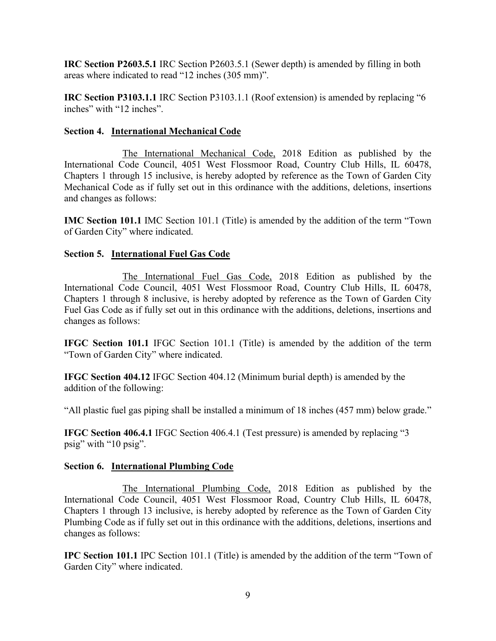**IRC Section P2603.5.1** IRC Section P2603.5.1 (Sewer depth) is amended by filling in both areas where indicated to read "12 inches (305 mm)".

**IRC Section P3103.1.1** IRC Section P3103.1.1 (Roof extension) is amended by replacing "6 inches" with "12 inches".

## **Section 4. International Mechanical Code**

The International Mechanical Code, 2018 Edition as published by the International Code Council, 4051 West Flossmoor Road, Country Club Hills, IL 60478, Chapters 1 through 15 inclusive, is hereby adopted by reference as the Town of Garden City Mechanical Code as if fully set out in this ordinance with the additions, deletions, insertions and changes as follows:

**IMC Section 101.1** IMC Section 101.1 (Title) is amended by the addition of the term "Town of Garden City" where indicated.

## **Section 5. International Fuel Gas Code**

The International Fuel Gas Code, 2018 Edition as published by the International Code Council, 4051 West Flossmoor Road, Country Club Hills, IL 60478, Chapters 1 through 8 inclusive, is hereby adopted by reference as the Town of Garden City Fuel Gas Code as if fully set out in this ordinance with the additions, deletions, insertions and changes as follows:

**IFGC Section 101.1** IFGC Section 101.1 (Title) is amended by the addition of the term "Town of Garden City" where indicated.

**IFGC Section 404.12** IFGC Section 404.12 (Minimum burial depth) is amended by the addition of the following:

"All plastic fuel gas piping shall be installed a minimum of 18 inches (457 mm) below grade."

**IFGC Section 406.4.1** IFGC Section 406.4.1 (Test pressure) is amended by replacing "3 psig" with "10 psig".

### **Section 6. International Plumbing Code**

The International Plumbing Code, 2018 Edition as published by the International Code Council, 4051 West Flossmoor Road, Country Club Hills, IL 60478, Chapters 1 through 13 inclusive, is hereby adopted by reference as the Town of Garden City Plumbing Code as if fully set out in this ordinance with the additions, deletions, insertions and changes as follows:

**IPC Section 101.1** IPC Section 101.1 (Title) is amended by the addition of the term "Town of Garden City" where indicated.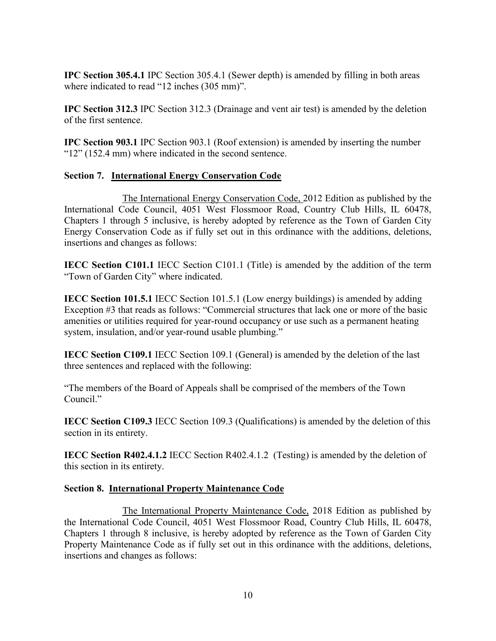**IPC Section 305.4.1** IPC Section 305.4.1 (Sewer depth) is amended by filling in both areas where indicated to read "12 inches (305 mm)".

**IPC Section 312.3** IPC Section 312.3 (Drainage and vent air test) is amended by the deletion of the first sentence.

**IPC Section 903.1** IPC Section 903.1 (Roof extension) is amended by inserting the number "12" (152.4 mm) where indicated in the second sentence.

# **Section 7. International Energy Conservation Code**

The International Energy Conservation Code, 2012 Edition as published by the International Code Council, 4051 West Flossmoor Road, Country Club Hills, IL 60478, Chapters 1 through 5 inclusive, is hereby adopted by reference as the Town of Garden City Energy Conservation Code as if fully set out in this ordinance with the additions, deletions, insertions and changes as follows:

**IECC Section C101.1** IECC Section C101.1 (Title) is amended by the addition of the term "Town of Garden City" where indicated.

**IECC Section 101.5.1** IECC Section 101.5.1 (Low energy buildings) is amended by adding Exception #3 that reads as follows: "Commercial structures that lack one or more of the basic amenities or utilities required for year-round occupancy or use such as a permanent heating system, insulation, and/or year-round usable plumbing."

**IECC Section C109.1** IECC Section 109.1 (General) is amended by the deletion of the last three sentences and replaced with the following:

"The members of the Board of Appeals shall be comprised of the members of the Town Council."

**IECC Section C109.3** IECC Section 109.3 (Qualifications) is amended by the deletion of this section in its entirety.

**IECC Section R402.4.1.2** IECC Section R402.4.1.2 (Testing) is amended by the deletion of this section in its entirety.

## **Section 8. International Property Maintenance Code**

The International Property Maintenance Code, 2018 Edition as published by the International Code Council, 4051 West Flossmoor Road, Country Club Hills, IL 60478, Chapters 1 through 8 inclusive, is hereby adopted by reference as the Town of Garden City Property Maintenance Code as if fully set out in this ordinance with the additions, deletions, insertions and changes as follows: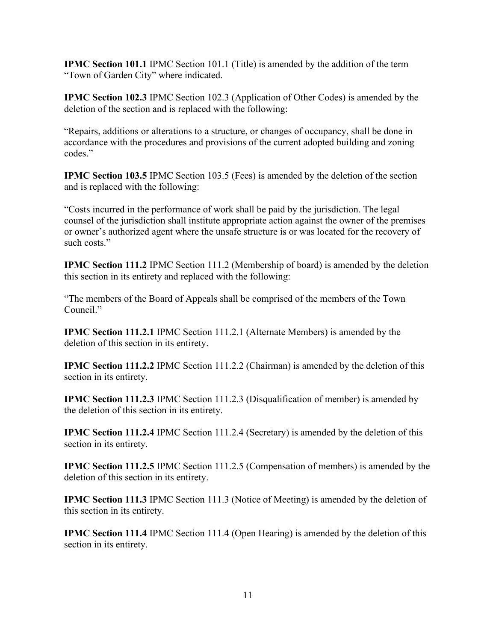**IPMC Section 101.1** IPMC Section 101.1 (Title) is amended by the addition of the term "Town of Garden City" where indicated.

**IPMC Section 102.3** IPMC Section 102.3 (Application of Other Codes) is amended by the deletion of the section and is replaced with the following:

"Repairs, additions or alterations to a structure, or changes of occupancy, shall be done in accordance with the procedures and provisions of the current adopted building and zoning codes."

**IPMC Section 103.5** IPMC Section 103.5 (Fees) is amended by the deletion of the section and is replaced with the following:

"Costs incurred in the performance of work shall be paid by the jurisdiction. The legal counsel of the jurisdiction shall institute appropriate action against the owner of the premises or owner's authorized agent where the unsafe structure is or was located for the recovery of such costs."

**IPMC Section 111.2** IPMC Section 111.2 (Membership of board) is amended by the deletion this section in its entirety and replaced with the following:

"The members of the Board of Appeals shall be comprised of the members of the Town Council."

**IPMC Section 111.2.1** IPMC Section 111.2.1 (Alternate Members) is amended by the deletion of this section in its entirety.

**IPMC Section 111.2.2** IPMC Section 111.2.2 (Chairman) is amended by the deletion of this section in its entirety.

**IPMC Section 111.2.3** IPMC Section 111.2.3 (Disqualification of member) is amended by the deletion of this section in its entirety.

**IPMC Section 111.2.4** IPMC Section 111.2.4 (Secretary) is amended by the deletion of this section in its entirety.

**IPMC Section 111.2.5** IPMC Section 111.2.5 (Compensation of members) is amended by the deletion of this section in its entirety.

**IPMC Section 111.3** IPMC Section 111.3 (Notice of Meeting) is amended by the deletion of this section in its entirety.

**IPMC Section 111.4** IPMC Section 111.4 (Open Hearing) is amended by the deletion of this section in its entirety.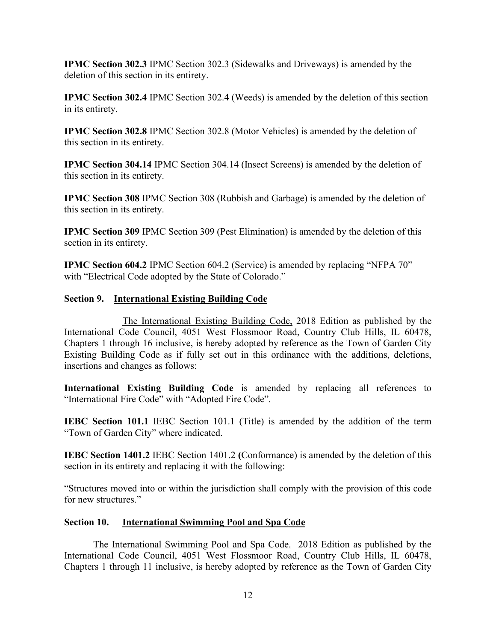**IPMC Section 302.3** IPMC Section 302.3 (Sidewalks and Driveways) is amended by the deletion of this section in its entirety.

**IPMC Section 302.4** IPMC Section 302.4 (Weeds) is amended by the deletion of this section in its entirety.

**IPMC Section 302.8** IPMC Section 302.8 (Motor Vehicles) is amended by the deletion of this section in its entirety.

**IPMC Section 304.14** IPMC Section 304.14 (Insect Screens) is amended by the deletion of this section in its entirety.

**IPMC Section 308** IPMC Section 308 (Rubbish and Garbage) is amended by the deletion of this section in its entirety.

**IPMC Section 309** IPMC Section 309 (Pest Elimination) is amended by the deletion of this section in its entirety.

**IPMC Section 604.2** IPMC Section 604.2 (Service) is amended by replacing "NFPA 70" with "Electrical Code adopted by the State of Colorado."

## **Section 9. International Existing Building Code**

The International Existing Building Code, 2018 Edition as published by the International Code Council, 4051 West Flossmoor Road, Country Club Hills, IL 60478, Chapters 1 through 16 inclusive, is hereby adopted by reference as the Town of Garden City Existing Building Code as if fully set out in this ordinance with the additions, deletions, insertions and changes as follows:

**International Existing Building Code** is amended by replacing all references to "International Fire Code" with "Adopted Fire Code".

**IEBC Section 101.1 IEBC Section 101.1 (Title) is amended by the addition of the term** "Town of Garden City" where indicated.

**IEBC Section 1401.2** IEBC Section 1401.2 **(**Conformance) is amended by the deletion of this section in its entirety and replacing it with the following:

"Structures moved into or within the jurisdiction shall comply with the provision of this code for new structures."

### **Section 10. International Swimming Pool and Spa Code**

The International Swimming Pool and Spa Code. 2018 Edition as published by the International Code Council, 4051 West Flossmoor Road, Country Club Hills, IL 60478, Chapters 1 through 11 inclusive, is hereby adopted by reference as the Town of Garden City